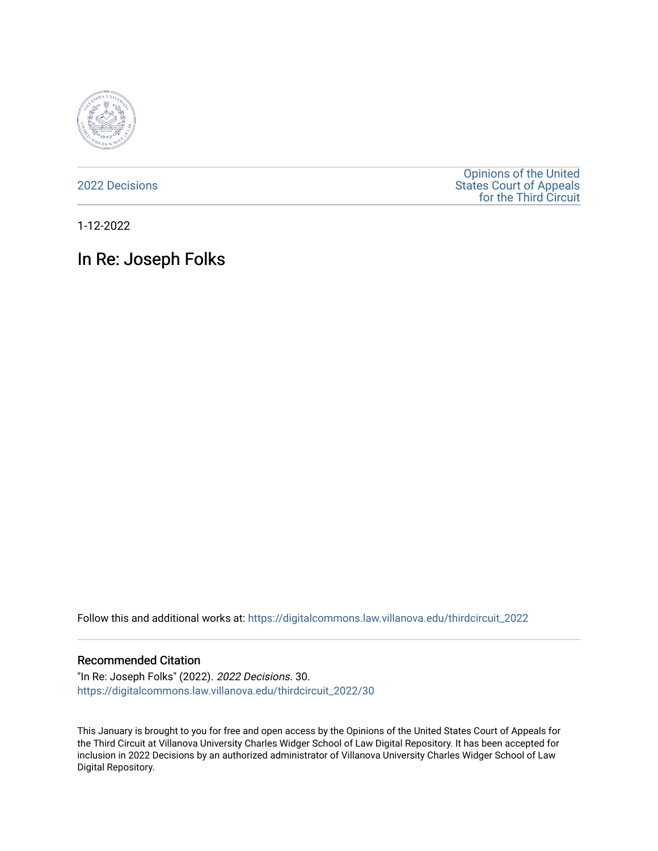

[2022 Decisions](https://digitalcommons.law.villanova.edu/thirdcircuit_2022)

[Opinions of the United](https://digitalcommons.law.villanova.edu/thirdcircuit)  [States Court of Appeals](https://digitalcommons.law.villanova.edu/thirdcircuit)  [for the Third Circuit](https://digitalcommons.law.villanova.edu/thirdcircuit) 

1-12-2022

# In Re: Joseph Folks

Follow this and additional works at: [https://digitalcommons.law.villanova.edu/thirdcircuit\\_2022](https://digitalcommons.law.villanova.edu/thirdcircuit_2022?utm_source=digitalcommons.law.villanova.edu%2Fthirdcircuit_2022%2F30&utm_medium=PDF&utm_campaign=PDFCoverPages) 

#### Recommended Citation

"In Re: Joseph Folks" (2022). 2022 Decisions. 30. [https://digitalcommons.law.villanova.edu/thirdcircuit\\_2022/30](https://digitalcommons.law.villanova.edu/thirdcircuit_2022/30?utm_source=digitalcommons.law.villanova.edu%2Fthirdcircuit_2022%2F30&utm_medium=PDF&utm_campaign=PDFCoverPages)

This January is brought to you for free and open access by the Opinions of the United States Court of Appeals for the Third Circuit at Villanova University Charles Widger School of Law Digital Repository. It has been accepted for inclusion in 2022 Decisions by an authorized administrator of Villanova University Charles Widger School of Law Digital Repository.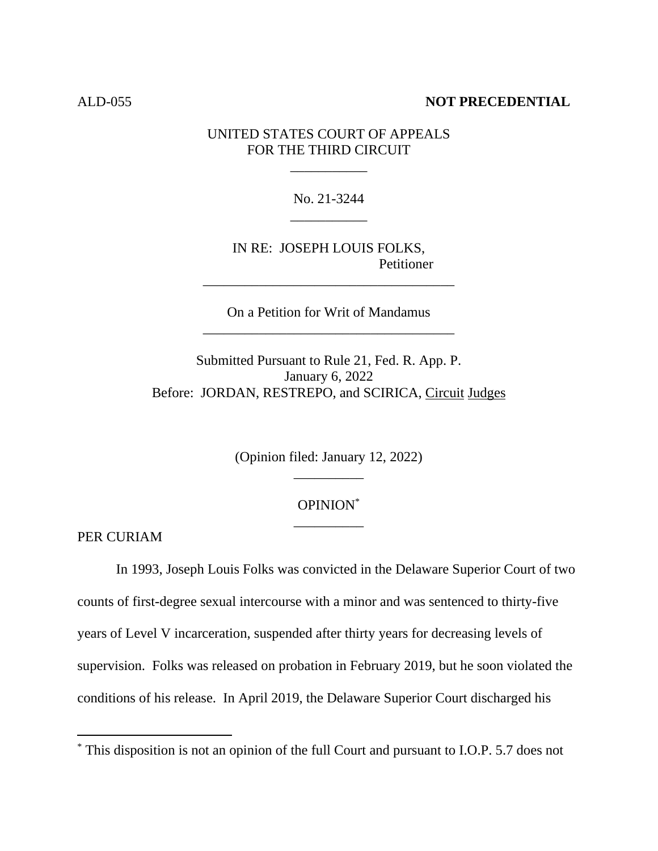### ALD-055 **NOT PRECEDENTIAL**

UNITED STATES COURT OF APPEALS FOR THE THIRD CIRCUIT

\_\_\_\_\_\_\_\_\_\_\_

No. 21-3244 \_\_\_\_\_\_\_\_\_\_\_

IN RE: JOSEPH LOUIS FOLKS, Petitioner

On a Petition for Writ of Mandamus \_\_\_\_\_\_\_\_\_\_\_\_\_\_\_\_\_\_\_\_\_\_\_\_\_\_\_\_\_\_\_\_\_\_\_\_

\_\_\_\_\_\_\_\_\_\_\_\_\_\_\_\_\_\_\_\_\_\_\_\_\_\_\_\_\_\_\_\_\_\_\_\_

Submitted Pursuant to Rule 21, Fed. R. App. P. January 6, 2022 Before: JORDAN, RESTREPO, and SCIRICA, Circuit Judges

> (Opinion filed: January 12, 2022) \_\_\_\_\_\_\_\_\_\_

## OPINION\* \_\_\_\_\_\_\_\_\_\_

PER CURIAM

In 1993, Joseph Louis Folks was convicted in the Delaware Superior Court of two counts of first-degree sexual intercourse with a minor and was sentenced to thirty-five years of Level V incarceration, suspended after thirty years for decreasing levels of supervision. Folks was released on probation in February 2019, but he soon violated the conditions of his release. In April 2019, the Delaware Superior Court discharged his

<sup>\*</sup> This disposition is not an opinion of the full Court and pursuant to I.O.P. 5.7 does not